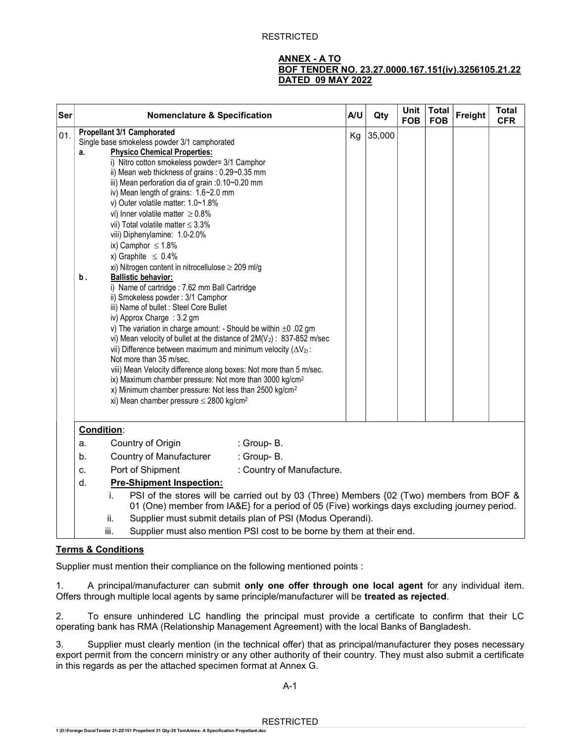## RESTRICTED

## ANNEX - A TO BOF TENDER NO. 23.27.0000.167.151(iv).3256105.21.22 DATED 09 MAY 2022

| Ser | <b>Nomenclature &amp; Specification</b>                                                                                                                                                                                                                                                                                                                                                                                                                                                                                                                                                                                                                                                                                                                                                                                                                                                                                                                                                                                                                                                                                                                                                                                                                                                                                                         | A/U | Qty    | <b>Unit</b><br><b>FOB</b> | <b>Total</b><br><b>FOB</b> | Freight | <b>Total</b><br><b>CFR</b> |
|-----|-------------------------------------------------------------------------------------------------------------------------------------------------------------------------------------------------------------------------------------------------------------------------------------------------------------------------------------------------------------------------------------------------------------------------------------------------------------------------------------------------------------------------------------------------------------------------------------------------------------------------------------------------------------------------------------------------------------------------------------------------------------------------------------------------------------------------------------------------------------------------------------------------------------------------------------------------------------------------------------------------------------------------------------------------------------------------------------------------------------------------------------------------------------------------------------------------------------------------------------------------------------------------------------------------------------------------------------------------|-----|--------|---------------------------|----------------------------|---------|----------------------------|
| 01. | Propellant 3/1 Camphorated<br>Single base smokeless powder 3/1 camphorated<br><b>Physico Chemical Properties:</b><br>a.<br>i) Nitro cotton smokeless powder= 3/1 Camphor<br>ii) Mean web thickness of grains: 0.29~0.35 mm<br>iii) Mean perforation dia of grain :0.10~0.20 mm<br>iv) Mean length of grains: 1.6~2.0 mm<br>v) Outer volatile matter: 1.0~1.8%<br>vi) Inner volatile matter $\geq 0.8\%$<br>vii) Total volatile matter $\leq 3.3\%$<br>viii) Diphenylamine: 1.0-2.0%<br>ix) Camphor $\leq 1.8\%$<br>x) Graphite $\leq 0.4\%$<br>xi) Nitrogen content in nitrocellulose $\geq$ 209 ml/g<br><b>Ballistic behavior:</b><br>b.<br>i) Name of cartridge : 7.62 mm Ball Cartridge<br>ii) Smokeless powder: 3/1 Camphor<br>iii) Name of bullet : Steel Core Bullet<br>iv) Approx Charge : 3.2 gm<br>v) The variation in charge amount: - Should be within $\pm 0$ .02 gm<br>vi) Mean velocity of bullet at the distance of $2M(V_2)$ : 837-852 m/sec<br>vii) Difference between maximum and minimum velocity $(\Delta V_2)$ :<br>Not more than 35 m/sec.<br>viii) Mean Velocity difference along boxes: Not more than 5 m/sec.<br>ix) Maximum chamber pressure: Not more than 3000 kg/cm <sup>2</sup><br>x) Minimum chamber pressure: Not less than 2500 kg/cm <sup>2</sup><br>xi) Mean chamber pressure $\leq$ 2800 kg/cm <sup>2</sup> | Kg  | 35,000 |                           |                            |         |                            |
|     | Condition:<br>: Group-B.<br>Country of Origin<br>a.<br>Country of Manufacturer<br>: Group-B.<br>b.<br>Port of Shipment<br>: Country of Manufacture.<br>c.<br><b>Pre-Shipment Inspection:</b><br>d.<br>PSI of the stores will be carried out by 03 (Three) Members {02 (Two) members from BOF &<br>i.<br>01 (One) member from IA&E} for a period of 05 (Five) workings days excluding journey period.                                                                                                                                                                                                                                                                                                                                                                                                                                                                                                                                                                                                                                                                                                                                                                                                                                                                                                                                            |     |        |                           |                            |         |                            |
|     | Supplier must submit details plan of PSI (Modus Operandi).<br>ii.<br>Supplier must also mention PSI cost to be borne by them at their end.<br>iii.                                                                                                                                                                                                                                                                                                                                                                                                                                                                                                                                                                                                                                                                                                                                                                                                                                                                                                                                                                                                                                                                                                                                                                                              |     |        |                           |                            |         |                            |

## Terms & Conditions

Supplier must mention their compliance on the following mentioned points :

1. A principal/manufacturer can submit only one offer through one local agent for any individual item. Offers through multiple local agents by same principle/manufacturer will be treated as rejected.

2. To ensure unhindered LC handling the principal must provide a certificate to confirm that their LC operating bank has RMA (Relationship Management Agreement) with the local Banks of Bangladesh.

3. Supplier must clearly mention (in the technical offer) that as principal/manufacturer they poses necessary export permit from the concern ministry or any other authority of their country. They must also submit a certificate in this regards as per the attached specimen format at Annex G.

A-1